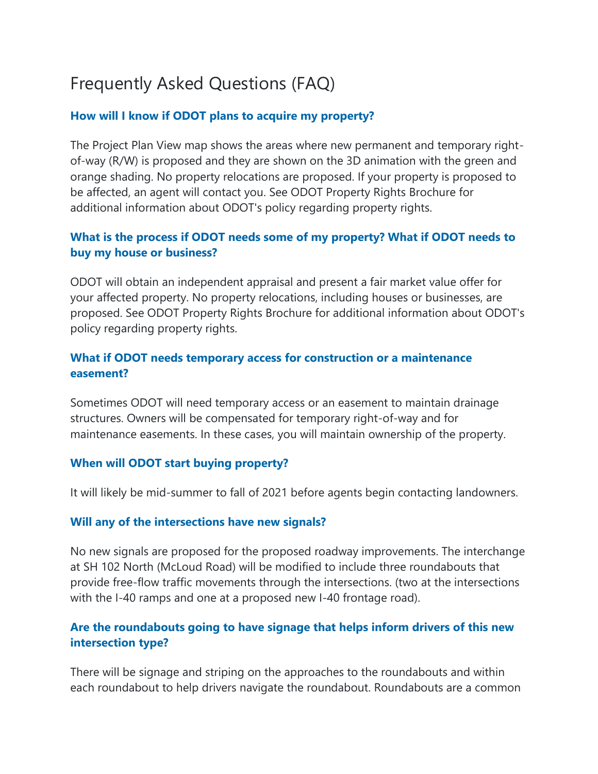# Frequently Asked Questions (FAQ)

## **How will I know if ODOT plans to acquire my property?**

The Project Plan View map shows the areas where new permanent and temporary rightof-way (R/W) is proposed and they are shown on the 3D animation with the green and orange shading. No property relocations are proposed. If your property is proposed to be affected, an agent will contact you. See ODOT Property Rights Brochure for additional information about ODOT's policy regarding property rights.

# **What is the process if ODOT needs some of my property? What if ODOT needs to buy my house or business?**

ODOT will obtain an independent appraisal and present a fair market value offer for your affected property. No property relocations, including houses or businesses, are proposed. See ODOT Property Rights Brochure for additional information about ODOT's policy regarding property rights.

## **What if ODOT needs temporary access for construction or a maintenance easement?**

Sometimes ODOT will need temporary access or an easement to maintain drainage structures. Owners will be compensated for temporary right-of-way and for maintenance easements. In these cases, you will maintain ownership of the property.

### **When will ODOT start buying property?**

It will likely be mid-summer to fall of 2021 before agents begin contacting landowners.

### **Will any of the intersections have new signals?**

No new signals are proposed for the proposed roadway improvements. The interchange at SH 102 North (McLoud Road) will be modified to include three roundabouts that provide free-flow traffic movements through the intersections. (two at the intersections with the I-40 ramps and one at a proposed new I-40 frontage road).

# **Are the roundabouts going to have signage that helps inform drivers of this new intersection type?**

There will be signage and striping on the approaches to the roundabouts and within each roundabout to help drivers navigate the roundabout. Roundabouts are a common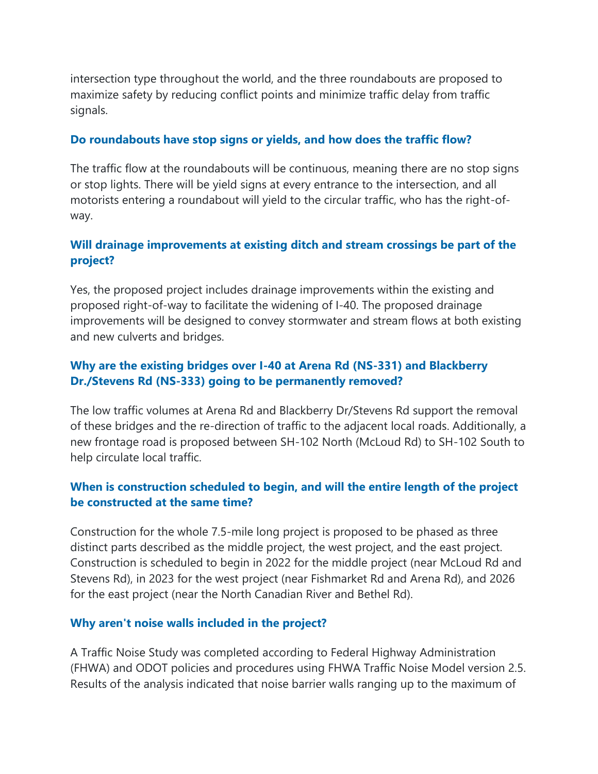intersection type throughout the world, and the three roundabouts are proposed to maximize safety by reducing conflict points and minimize traffic delay from traffic signals.

## **Do roundabouts have stop signs or yields, and how does the traffic flow?**

The traffic flow at the roundabouts will be continuous, meaning there are no stop signs or stop lights. There will be yield signs at every entrance to the intersection, and all motorists entering a roundabout will yield to the circular traffic, who has the right-ofway.

# **Will drainage improvements at existing ditch and stream crossings be part of the project?**

Yes, the proposed project includes drainage improvements within the existing and proposed right-of-way to facilitate the widening of I-40. The proposed drainage improvements will be designed to convey stormwater and stream flows at both existing and new culverts and bridges.

# **Why are the existing bridges over I-40 at Arena Rd (NS-331) and Blackberry Dr./Stevens Rd (NS-333) going to be permanently removed?**

The low traffic volumes at Arena Rd and Blackberry Dr/Stevens Rd support the removal of these bridges and the re-direction of traffic to the adjacent local roads. Additionally, a new frontage road is proposed between SH-102 North (McLoud Rd) to SH-102 South to help circulate local traffic.

# **When is construction scheduled to begin, and will the entire length of the project be constructed at the same time?**

Construction for the whole 7.5-mile long project is proposed to be phased as three distinct parts described as the middle project, the west project, and the east project. Construction is scheduled to begin in 2022 for the middle project (near McLoud Rd and Stevens Rd), in 2023 for the west project (near Fishmarket Rd and Arena Rd), and 2026 for the east project (near the North Canadian River and Bethel Rd).

### **Why aren't noise walls included in the project?**

A Traffic Noise Study was completed according to Federal Highway Administration (FHWA) and ODOT policies and procedures using FHWA Traffic Noise Model version 2.5. Results of the analysis indicated that noise barrier walls ranging up to the maximum of